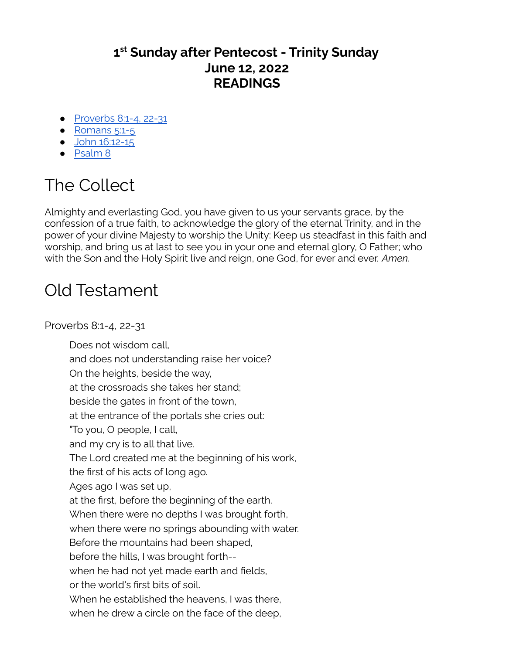### **1 st Sunday after Pentecost - Trinity Sunday June 12, 2022 READINGS**

- [Proverbs](https://www.lectionarypage.net/YearC_RCL/Pentecost/CTrinity_RCL.html#ot1) 8:1-4, 22-31
- [Romans](https://www.lectionarypage.net/YearC_RCL/Pentecost/CTrinity_RCL.html#nt1) 5:1-5
- John [16:12-15](https://www.lectionarypage.net/YearC_RCL/Pentecost/CTrinity_RCL.html#gsp1)
- [Psalm](https://www.lectionarypage.net/YearC_RCL/Pentecost/CTrinity_RCL.html#ps1) 8

# The Collect

Almighty and everlasting God, you have given to us your servants grace, by the confession of a true faith, to acknowledge the glory of the eternal Trinity, and in the power of your divine Majesty to worship the Unity: Keep us steadfast in this faith and worship, and bring us at last to see you in your one and eternal glory, O Father; who with the Son and the Holy Spirit live and reign, one God, for ever and ever. *Amen.*

# Old Testament

### Proverbs 8:1-4, 22-31

Does not wisdom call, and does not understanding raise her voice? On the heights, beside the way, at the crossroads she takes her stand; beside the gates in front of the town, at the entrance of the portals she cries out: "To you, O people, I call, and my cry is to all that live. The Lord created me at the beginning of his work, the first of his acts of long ago. Ages ago I was set up, at the first, before the beginning of the earth. When there were no depths I was brought forth, when there were no springs abounding with water. Before the mountains had been shaped, before the hills, I was brought forth- when he had not yet made earth and fields, or the world's first bits of soil. When he established the heavens, I was there, when he drew a circle on the face of the deep,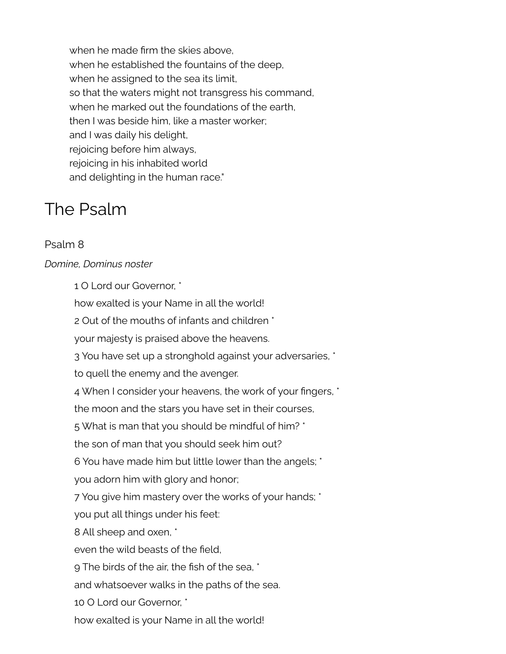when he made firm the skies above, when he established the fountains of the deep, when he assigned to the sea its limit, so that the waters might not transgress his command, when he marked out the foundations of the earth. then I was beside him, like a master worker; and I was daily his delight, rejoicing before him always, rejoicing in his inhabited world and delighting in the human race."

## The Psalm

### Psalm 8

#### *Domine, Dominus noster*

1 O Lord our Governor, \*

how exalted is your Name in all the world!

2 Out of the mouths of infants and children \*

your majesty is praised above the heavens.

3 You have set up a stronghold against your adversaries, \*

to quell the enemy and the avenger.

4 When I consider your heavens, the work of your fingers, \*

the moon and the stars you have set in their courses,

5 What is man that you should be mindful of him? \*

the son of man that you should seek him out?

6 You have made him but little lower than the angels; \*

you adorn him with glory and honor;

7 You give him mastery over the works of your hands; \*

you put all things under his feet:

8 All sheep and oxen, \*

even the wild beasts of the field,

9 The birds of the air, the fish of the sea, \*

and whatsoever walks in the paths of the sea.

10 O Lord our Governor, \*

how exalted is your Name in all the world!